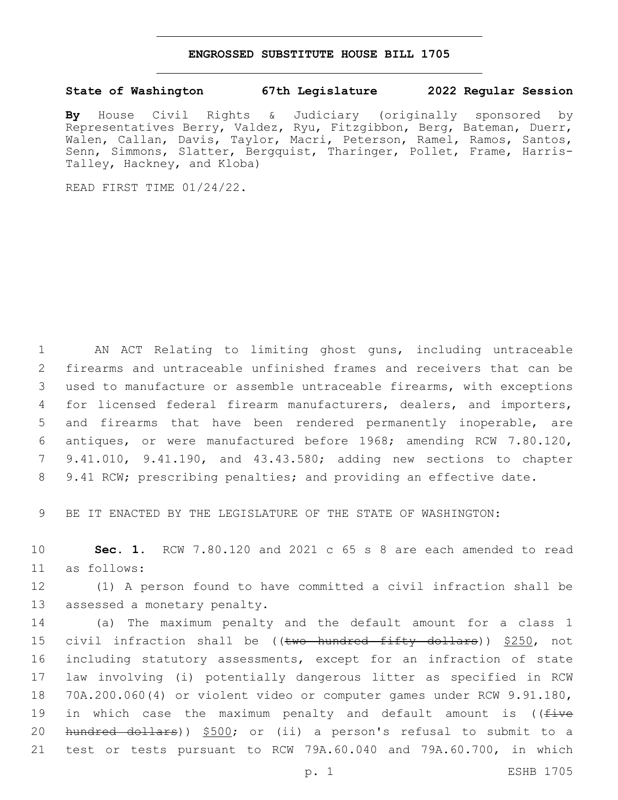## **ENGROSSED SUBSTITUTE HOUSE BILL 1705**

## **State of Washington 67th Legislature 2022 Regular Session**

**By** House Civil Rights & Judiciary (originally sponsored by Representatives Berry, Valdez, Ryu, Fitzgibbon, Berg, Bateman, Duerr, Walen, Callan, Davis, Taylor, Macri, Peterson, Ramel, Ramos, Santos, Senn, Simmons, Slatter, Bergquist, Tharinger, Pollet, Frame, Harris-Talley, Hackney, and Kloba)

READ FIRST TIME 01/24/22.

 AN ACT Relating to limiting ghost guns, including untraceable firearms and untraceable unfinished frames and receivers that can be used to manufacture or assemble untraceable firearms, with exceptions for licensed federal firearm manufacturers, dealers, and importers, and firearms that have been rendered permanently inoperable, are antiques, or were manufactured before 1968; amending RCW 7.80.120, 9.41.010, 9.41.190, and 43.43.580; adding new sections to chapter 9.41 RCW; prescribing penalties; and providing an effective date.

9 BE IT ENACTED BY THE LEGISLATURE OF THE STATE OF WASHINGTON:

10 **Sec. 1.** RCW 7.80.120 and 2021 c 65 s 8 are each amended to read as follows:11

12 (1) A person found to have committed a civil infraction shall be 13 assessed a monetary penalty.

 (a) The maximum penalty and the default amount for a class 1 15 civil infraction shall be ((two hundred fifty dollars)) \$250, not including statutory assessments, except for an infraction of state law involving (i) potentially dangerous litter as specified in RCW 70A.200.060(4) or violent video or computer games under RCW 9.91.180, 19 in which case the maximum penalty and default amount is ((five hundred dollars)) \$500; or (ii) a person's refusal to submit to a test or tests pursuant to RCW 79A.60.040 and 79A.60.700, in which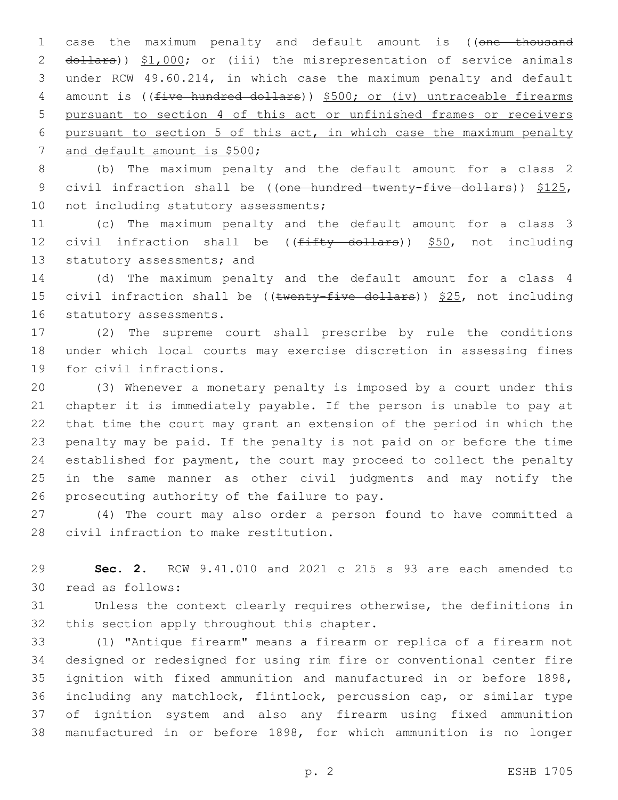1 case the maximum penalty and default amount is ((one thousand 2 dollars)) \$1,000; or (iii) the misrepresentation of service animals 3 under RCW 49.60.214, in which case the maximum penalty and default 4 amount is ((five hundred dollars)) \$500; or (iv) untraceable firearms 5 pursuant to section 4 of this act or unfinished frames or receivers 6 pursuant to section 5 of this act, in which case the maximum penalty 7 and default amount is \$500;

8 (b) The maximum penalty and the default amount for a class 2 9 civil infraction shall be ((one hundred twenty-five dollars)) \$125, 10 not including statutory assessments;

11 (c) The maximum penalty and the default amount for a class 3 12 civil infraction shall be  $((f\text{iffty} + f)$  dollars)) \$50, not including 13 statutory assessments; and

14 (d) The maximum penalty and the default amount for a class 4 15 civil infraction shall be (( $t$ wenty-five dollars))  $$25$ , not including 16 statutory assessments.

17 (2) The supreme court shall prescribe by rule the conditions 18 under which local courts may exercise discretion in assessing fines 19 for civil infractions.

 (3) Whenever a monetary penalty is imposed by a court under this chapter it is immediately payable. If the person is unable to pay at that time the court may grant an extension of the period in which the penalty may be paid. If the penalty is not paid on or before the time established for payment, the court may proceed to collect the penalty in the same manner as other civil judgments and may notify the 26 prosecuting authority of the failure to pay.

27 (4) The court may also order a person found to have committed a 28 civil infraction to make restitution.

29 **Sec. 2.** RCW 9.41.010 and 2021 c 215 s 93 are each amended to read as follows:30

31 Unless the context clearly requires otherwise, the definitions in 32 this section apply throughout this chapter.

 (1) "Antique firearm" means a firearm or replica of a firearm not designed or redesigned for using rim fire or conventional center fire ignition with fixed ammunition and manufactured in or before 1898, including any matchlock, flintlock, percussion cap, or similar type of ignition system and also any firearm using fixed ammunition manufactured in or before 1898, for which ammunition is no longer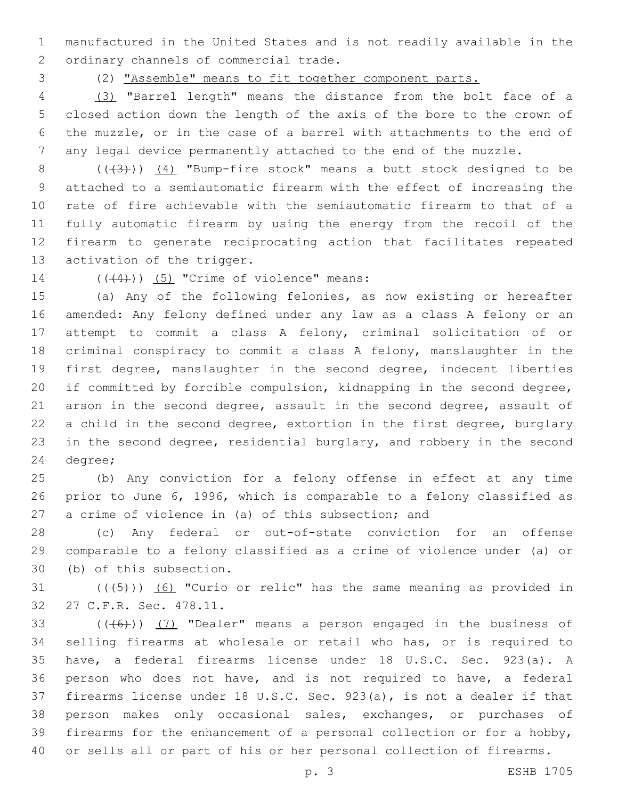manufactured in the United States and is not readily available in the 2 ordinary channels of commercial trade.

(2) "Assemble" means to fit together component parts.

 (3) "Barrel length" means the distance from the bolt face of a closed action down the length of the axis of the bore to the crown of the muzzle, or in the case of a barrel with attachments to the end of any legal device permanently attached to the end of the muzzle.

8 (((3))) (4) "Bump-fire stock" means a butt stock designed to be attached to a semiautomatic firearm with the effect of increasing the rate of fire achievable with the semiautomatic firearm to that of a fully automatic firearm by using the energy from the recoil of the firearm to generate reciprocating action that facilitates repeated 13 activation of the trigger.

14  $((\langle 4 \rangle)(5)$  "Crime of violence" means:

 (a) Any of the following felonies, as now existing or hereafter amended: Any felony defined under any law as a class A felony or an attempt to commit a class A felony, criminal solicitation of or criminal conspiracy to commit a class A felony, manslaughter in the first degree, manslaughter in the second degree, indecent liberties if committed by forcible compulsion, kidnapping in the second degree, arson in the second degree, assault in the second degree, assault of a child in the second degree, extortion in the first degree, burglary in the second degree, residential burglary, and robbery in the second 24 degree;

 (b) Any conviction for a felony offense in effect at any time prior to June 6, 1996, which is comparable to a felony classified as a crime of violence in (a) of this subsection; and

 (c) Any federal or out-of-state conviction for an offense comparable to a felony classified as a crime of violence under (a) or 30 (b) of this subsection.

31  $((+5+))$   $(6)$  "Curio or relic" has the same meaning as provided in 27 C.F.R. Sec. 478.11.32

 $((+6))$   $(7)$  "Dealer" means a person engaged in the business of selling firearms at wholesale or retail who has, or is required to have, a federal firearms license under 18 U.S.C. Sec. 923(a). A person who does not have, and is not required to have, a federal firearms license under 18 U.S.C. Sec. 923(a), is not a dealer if that person makes only occasional sales, exchanges, or purchases of firearms for the enhancement of a personal collection or for a hobby, or sells all or part of his or her personal collection of firearms.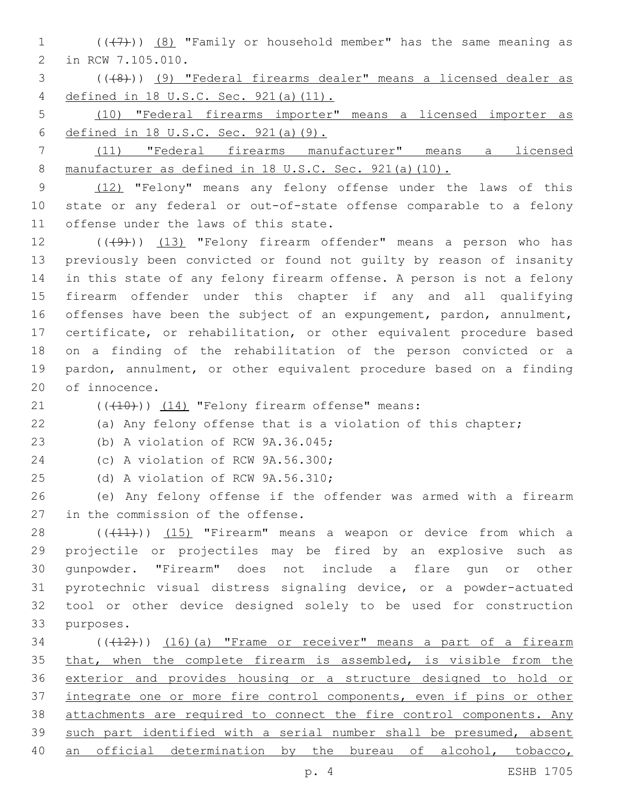1  $((+7)$ )  $(8)$  "Family or household member" has the same meaning as 2 in RCW 7.105.010.

3 (((8))) (9) "Federal firearms dealer" means a licensed dealer as 4 defined in 18 U.S.C. Sec. 921(a)(11).

5 (10) "Federal firearms importer" means a licensed importer as 6 defined in 18 U.S.C. Sec. 921(a)(9).

7 (11) "Federal firearms manufacturer" means a licensed 8 manufacturer as defined in 18 U.S.C. Sec. 921(a)(10).

9 (12) "Felony" means any felony offense under the laws of this 10 state or any federal or out-of-state offense comparable to a felony 11 offense under the laws of this state.

12 (((49))) (13) "Felony firearm offender" means a person who has previously been convicted or found not guilty by reason of insanity in this state of any felony firearm offense. A person is not a felony firearm offender under this chapter if any and all qualifying offenses have been the subject of an expungement, pardon, annulment, certificate, or rehabilitation, or other equivalent procedure based on a finding of the rehabilitation of the person convicted or a pardon, annulment, or other equivalent procedure based on a finding 20 of innocence.

 $(1)$   $(10)$ )  $(14)$  "Felony firearm offense" means:

22 (a) Any felony offense that is a violation of this chapter;

23 (b) A violation of RCW 9A.36.045;

24 (c) A violation of RCW 9A.56.300;

25 (d) A violation of RCW 9A.56.310;

26 (e) Any felony offense if the offender was armed with a firearm 27 in the commission of the offense.

28 (((11))) (15) "Firearm" means a weapon or device from which a projectile or projectiles may be fired by an explosive such as gunpowder. "Firearm" does not include a flare gun or other pyrotechnic visual distress signaling device, or a powder-actuated tool or other device designed solely to be used for construction 33 purposes.

 ( $(\overline{+12})$ )  $(16)$  (a) "Frame or receiver" means a part of a firearm 35 that, when the complete firearm is assembled, is visible from the exterior and provides housing or a structure designed to hold or integrate one or more fire control components, even if pins or other attachments are required to connect the fire control components. Any such part identified with a serial number shall be presumed, absent 40 an official determination by the bureau of alcohol, tobacco,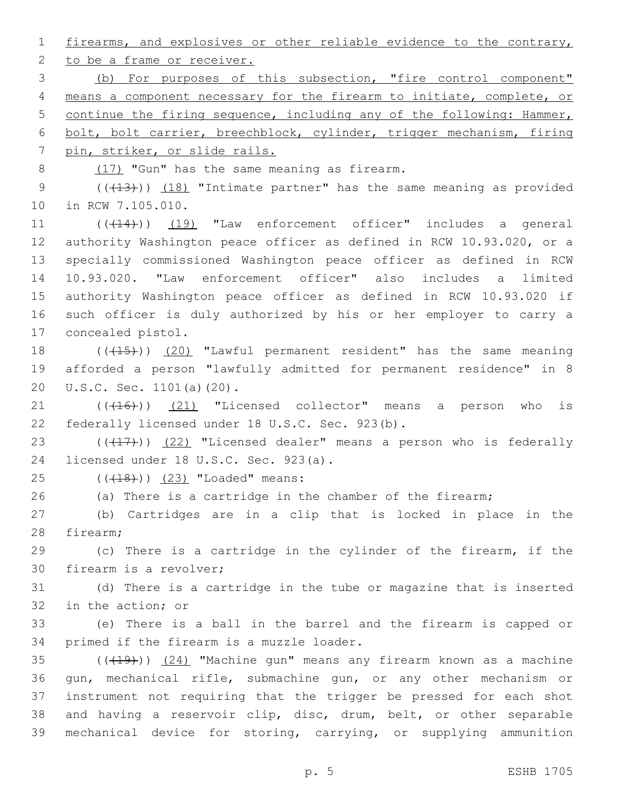1 firearms, and explosives or other reliable evidence to the contrary,

2 to be a frame or receiver.

 (b) For purposes of this subsection, "fire control component" means a component necessary for the firearm to initiate, complete, or continue the firing sequence, including any of the following: Hammer, bolt, bolt carrier, breechblock, cylinder, trigger mechanism, firing pin, striker, or slide rails.

8 (17) "Gun" has the same meaning as firearm.

9 (( $(13)$ )) (18) "Intimate partner" has the same meaning as provided 10 in RCW 7.105.010.

11 (( $(414)$ )) (19) "Law enforcement officer" includes a general authority Washington peace officer as defined in RCW 10.93.020, or a specially commissioned Washington peace officer as defined in RCW 10.93.020. "Law enforcement officer" also includes a limited authority Washington peace officer as defined in RCW 10.93.020 if such officer is duly authorized by his or her employer to carry a 17 concealed pistol.

18 (((15)) (20) "Lawful permanent resident" has the same meaning 19 afforded a person "lawfully admitted for permanent residence" in 8 20 U.S.C. Sec. 1101(a)(20).

 $(1)$   $(16)$ )  $(21)$  "Licensed collector" means a person who is 22 federally licensed under 18 U.S.C. Sec. 923(b).

23  $((+17))$   $(22)$  "Licensed dealer" means a person who is federally 24 licensed under 18 U.S.C. Sec. 923(a).

25 (((18)) (23) "Loaded" means:

26 (a) There is a cartridge in the chamber of the firearm;

27 (b) Cartridges are in a clip that is locked in place in the 28 firearm;

29 (c) There is a cartridge in the cylinder of the firearm, if the 30 firearm is a revolver;

31 (d) There is a cartridge in the tube or magazine that is inserted 32 in the action; or

33 (e) There is a ball in the barrel and the firearm is capped or 34 primed if the firearm is a muzzle loader.

 ( $(\overline{+19})$ )  $(24)$  "Machine gun" means any firearm known as a machine gun, mechanical rifle, submachine gun, or any other mechanism or instrument not requiring that the trigger be pressed for each shot and having a reservoir clip, disc, drum, belt, or other separable mechanical device for storing, carrying, or supplying ammunition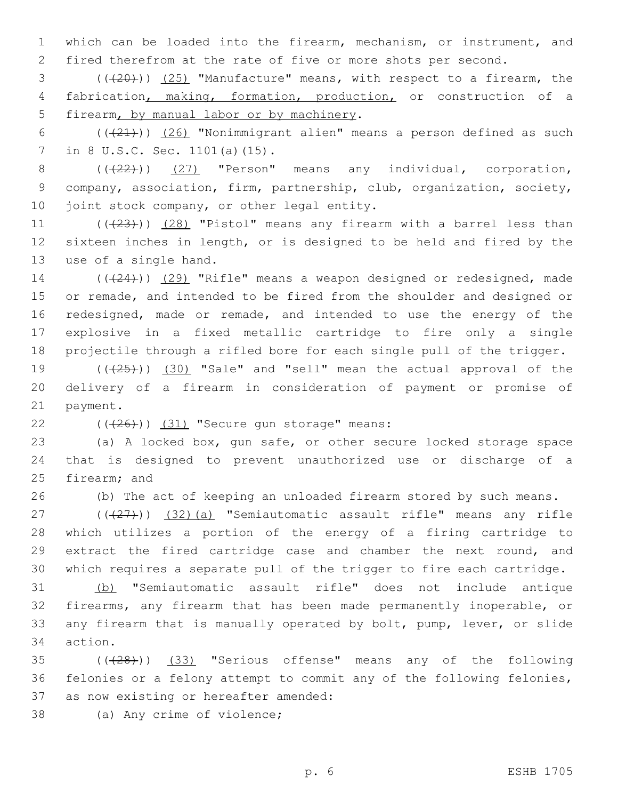1 which can be loaded into the firearm, mechanism, or instrument, and 2 fired therefrom at the rate of five or more shots per second.

3 (((20))) (25) "Manufacture" means, with respect to a firearm, the 4 fabrication, making, formation, production, or construction of a 5 firearm, by manual labor or by machinery.

6  $((+21))$   $(26)$  "Nonimmigrant alien" means a person defined as such 7 in 8 U.S.C. Sec. 1101(a)(15).

 $8$   $((22))$   $(27)$  "Person" means any individual, corporation, 9 company, association, firm, partnership, club, organization, society, 10 joint stock company, or other legal entity.

11  $((+23))$   $(28)$  "Pistol" means any firearm with a barrel less than 12 sixteen inches in length, or is designed to be held and fired by the 13 use of a single hand.

14 (((24))) (29) "Rifle" means a weapon designed or redesigned, made 15 or remade, and intended to be fired from the shoulder and designed or 16 redesigned, made or remade, and intended to use the energy of the 17 explosive in a fixed metallic cartridge to fire only a single 18 projectile through a rifled bore for each single pull of the trigger.

19  $((+25+))$   $(30)$  "Sale" and "sell" mean the actual approval of the 20 delivery of a firearm in consideration of payment or promise of 21 payment.

 $(426)$ ) (31) "Secure gun storage" means:

23 (a) A locked box, gun safe, or other secure locked storage space 24 that is designed to prevent unauthorized use or discharge of a 25 firearm; and

26 (b) The act of keeping an unloaded firearm stored by such means.

 $(1)(\frac{27}{27})$  (32)(a) "Semiautomatic assault rifle" means any rifle which utilizes a portion of the energy of a firing cartridge to extract the fired cartridge case and chamber the next round, and which requires a separate pull of the trigger to fire each cartridge.

 (b) "Semiautomatic assault rifle" does not include antique firearms, any firearm that has been made permanently inoperable, or any firearm that is manually operated by bolt, pump, lever, or slide 34 action.

35 (( $(28)$ )) (33) "Serious offense" means any of the following 36 felonies or a felony attempt to commit any of the following felonies, 37 as now existing or hereafter amended:

38 (a) Any crime of violence;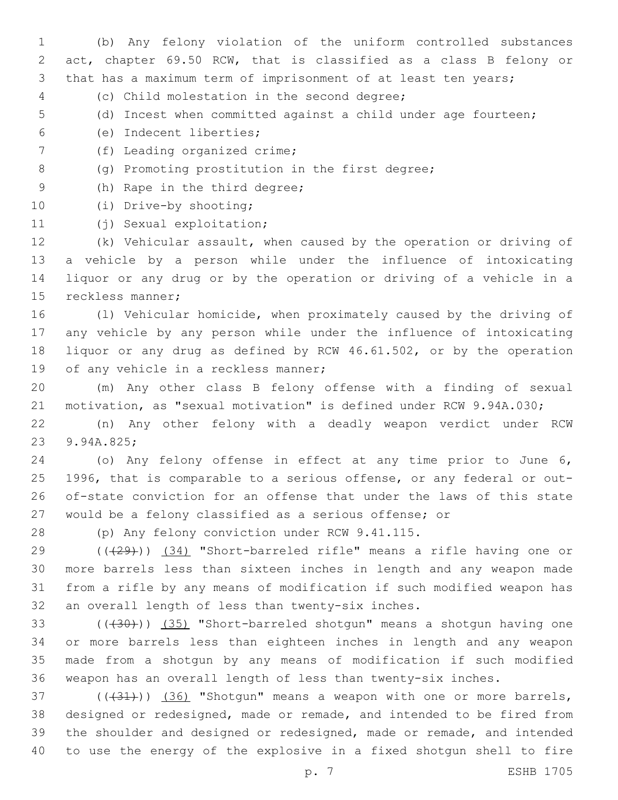(b) Any felony violation of the uniform controlled substances act, chapter 69.50 RCW, that is classified as a class B felony or that has a maximum term of imprisonment of at least ten years;

- (c) Child molestation in the second degree;4
- (d) Incest when committed against a child under age fourteen;
- (e) Indecent liberties;6
- 7 (f) Leading organized crime;
- 8 (g) Promoting prostitution in the first degree;
- 9 (h) Rape in the third degree;
- 10 (i) Drive-by shooting;
- 11 (j) Sexual exploitation;

 (k) Vehicular assault, when caused by the operation or driving of a vehicle by a person while under the influence of intoxicating liquor or any drug or by the operation or driving of a vehicle in a 15 reckless manner;

 (l) Vehicular homicide, when proximately caused by the driving of any vehicle by any person while under the influence of intoxicating liquor or any drug as defined by RCW 46.61.502, or by the operation 19 of any vehicle in a reckless manner;

 (m) Any other class B felony offense with a finding of sexual motivation, as "sexual motivation" is defined under RCW 9.94A.030;

 (n) Any other felony with a deadly weapon verdict under RCW 23 9.94A.825;

 (o) Any felony offense in effect at any time prior to June 6, 1996, that is comparable to a serious offense, or any federal or out- of-state conviction for an offense that under the laws of this state would be a felony classified as a serious offense; or

28 (p) Any felony conviction under RCW 9.41.115.

 (((29))) (34) "Short-barreled rifle" means a rifle having one or more barrels less than sixteen inches in length and any weapon made from a rifle by any means of modification if such modified weapon has 32 an overall length of less than twenty-six inches.

33 (((430))) (35) "Short-barreled shotgun" means a shotgun having one or more barrels less than eighteen inches in length and any weapon made from a shotgun by any means of modification if such modified weapon has an overall length of less than twenty-six inches.

 $(1,37)$  ( $(1,31)$ ) (36) "Shotgun" means a weapon with one or more barrels, designed or redesigned, made or remade, and intended to be fired from the shoulder and designed or redesigned, made or remade, and intended to use the energy of the explosive in a fixed shotgun shell to fire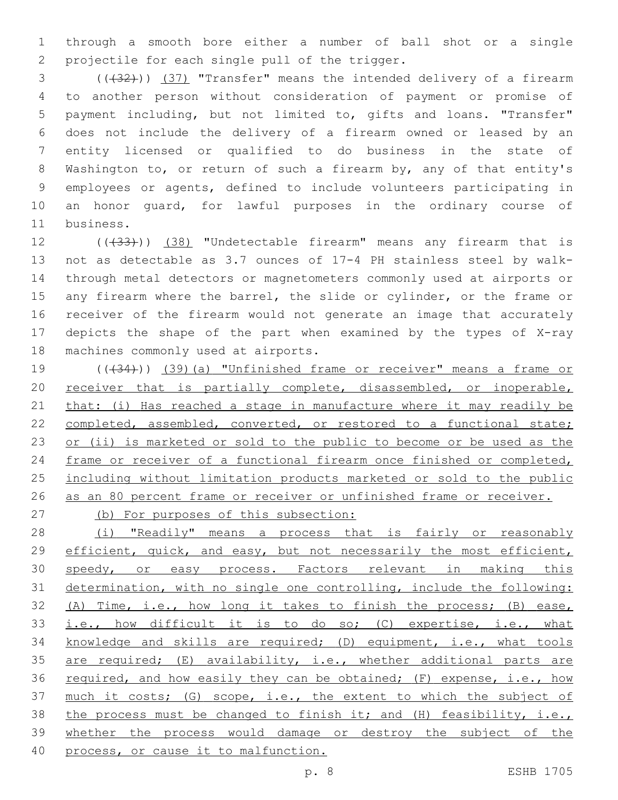1 through a smooth bore either a number of ball shot or a single 2 projectile for each single pull of the trigger.

3 (( $(32)$ )) (37) "Transfer" means the intended delivery of a firearm to another person without consideration of payment or promise of payment including, but not limited to, gifts and loans. "Transfer" does not include the delivery of a firearm owned or leased by an entity licensed or qualified to do business in the state of Washington to, or return of such a firearm by, any of that entity's employees or agents, defined to include volunteers participating in an honor guard, for lawful purposes in the ordinary course of 11 business.

12 (( $(33)$ )) (38) "Undetectable firearm" means any firearm that is 13 not as detectable as 3.7 ounces of 17-4 PH stainless steel by walk-14 through metal detectors or magnetometers commonly used at airports or 15 any firearm where the barrel, the slide or cylinder, or the frame or 16 receiver of the firearm would not generate an image that accurately 17 depicts the shape of the part when examined by the types of X-ray 18 machines commonly used at airports.

19 (( $(34)$ )) (39)(a) "Unfinished frame or receiver" means a frame or 20 receiver that is partially complete, disassembled, or inoperable, 21 that: (i) Has reached a stage in manufacture where it may readily be 22 completed, assembled, converted, or restored to a functional state; 23 or (ii) is marketed or sold to the public to become or be used as the 24 frame or receiver of a functional firearm once finished or completed, 25 including without limitation products marketed or sold to the public 26 as an 80 percent frame or receiver or unfinished frame or receiver.

27 (b) For purposes of this subsection:

28 (i) "Readily" means a process that is fairly or reasonably 29 efficient, quick, and easy, but not necessarily the most efficient, 30 speedy, or easy process. Factors relevant in making this 31 determination, with no single one controlling, include the following: 32 (A) Time, i.e., how long it takes to finish the process; (B) ease, 33 i.e., how difficult it is to do so; (C) expertise, i.e., what 34 knowledge and skills are required; (D) equipment, i.e., what tools 35 are required; (E) availability, i.e., whether additional parts are 36 required, and how easily they can be obtained; (F) expense, i.e., how 37 much it costs; (G) scope, i.e., the extent to which the subject of 38 the process must be changed to finish it; and (H) feasibility, i.e., 39 whether the process would damage or destroy the subject of the 40 process, or cause it to malfunction.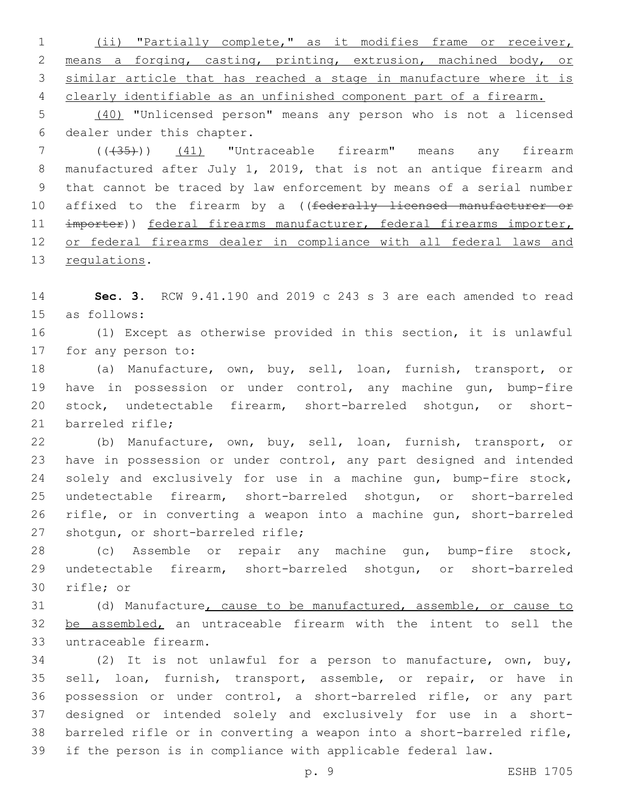(ii) "Partially complete," as it modifies frame or receiver, means a forging, casting, printing, extrusion, machined body, or similar article that has reached a stage in manufacture where it is clearly identifiable as an unfinished component part of a firearm.

 (40) "Unlicensed person" means any person who is not a licensed 6 dealer under this chapter.

 (((35))) (41) "Untraceable firearm" means any firearm manufactured after July 1, 2019, that is not an antique firearm and that cannot be traced by law enforcement by means of a serial number 10 affixed to the firearm by a ((federally licensed manufacturer or 11 importer)) federal firearms manufacturer, federal firearms importer, or federal firearms dealer in compliance with all federal laws and 13 regulations.

 **Sec. 3.** RCW 9.41.190 and 2019 c 243 s 3 are each amended to read 15 as follows:

 (1) Except as otherwise provided in this section, it is unlawful 17 for any person to:

 (a) Manufacture, own, buy, sell, loan, furnish, transport, or have in possession or under control, any machine gun, bump-fire stock, undetectable firearm, short-barreled shotgun, or short-21 barreled rifle:

 (b) Manufacture, own, buy, sell, loan, furnish, transport, or have in possession or under control, any part designed and intended solely and exclusively for use in a machine gun, bump-fire stock, undetectable firearm, short-barreled shotgun, or short-barreled rifle, or in converting a weapon into a machine gun, short-barreled 27 shotgun, or short-barreled rifle;

 (c) Assemble or repair any machine gun, bump-fire stock, undetectable firearm, short-barreled shotgun, or short-barreled 30 rifle; or

 (d) Manufacture, cause to be manufactured, assemble, or cause to 32 be assembled, an untraceable firearm with the intent to sell the 33 untraceable firearm.

 (2) It is not unlawful for a person to manufacture, own, buy, sell, loan, furnish, transport, assemble, or repair, or have in possession or under control, a short-barreled rifle, or any part designed or intended solely and exclusively for use in a short- barreled rifle or in converting a weapon into a short-barreled rifle, if the person is in compliance with applicable federal law.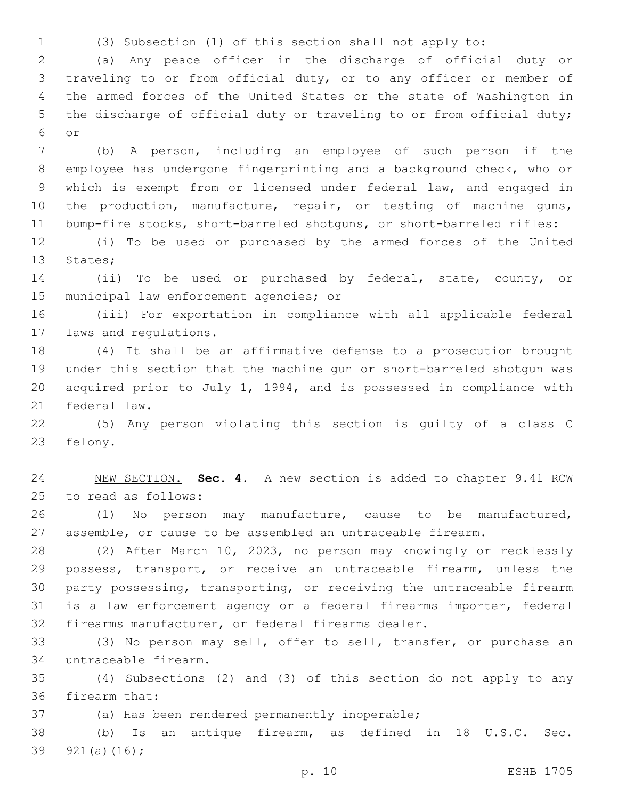(3) Subsection (1) of this section shall not apply to:

 (a) Any peace officer in the discharge of official duty or traveling to or from official duty, or to any officer or member of the armed forces of the United States or the state of Washington in the discharge of official duty or traveling to or from official duty; or6

 (b) A person, including an employee of such person if the employee has undergone fingerprinting and a background check, who or which is exempt from or licensed under federal law, and engaged in 10 the production, manufacture, repair, or testing of machine guns, bump-fire stocks, short-barreled shotguns, or short-barreled rifles:

 (i) To be used or purchased by the armed forces of the United 13 States;

 (ii) To be used or purchased by federal, state, county, or 15 municipal law enforcement agencies; or

 (iii) For exportation in compliance with all applicable federal 17 laws and regulations.

 (4) It shall be an affirmative defense to a prosecution brought under this section that the machine gun or short-barreled shotgun was acquired prior to July 1, 1994, and is possessed in compliance with 21 federal law.

 (5) Any person violating this section is guilty of a class C 23 felony.

 NEW SECTION. **Sec. 4.** A new section is added to chapter 9.41 RCW 25 to read as follows:

 (1) No person may manufacture, cause to be manufactured, assemble, or cause to be assembled an untraceable firearm.

 (2) After March 10, 2023, no person may knowingly or recklessly possess, transport, or receive an untraceable firearm, unless the party possessing, transporting, or receiving the untraceable firearm is a law enforcement agency or a federal firearms importer, federal firearms manufacturer, or federal firearms dealer.

 (3) No person may sell, offer to sell, transfer, or purchase an untraceable firearm.34

 (4) Subsections (2) and (3) of this section do not apply to any 36 firearm that:

37 (a) Has been rendered permanently inoperable;

 (b) Is an antique firearm, as defined in 18 U.S.C. Sec. 39  $921(a)(16)$ ;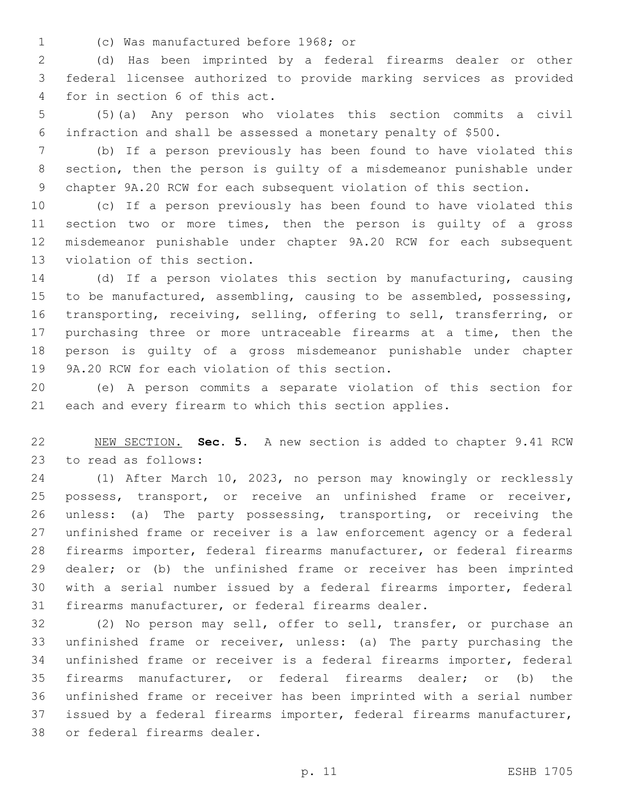(c) Was manufactured before 1968; or1

 (d) Has been imprinted by a federal firearms dealer or other federal licensee authorized to provide marking services as provided 4 for in section 6 of this act.

 (5)(a) Any person who violates this section commits a civil infraction and shall be assessed a monetary penalty of \$500.

 (b) If a person previously has been found to have violated this section, then the person is guilty of a misdemeanor punishable under chapter 9A.20 RCW for each subsequent violation of this section.

 (c) If a person previously has been found to have violated this section two or more times, then the person is guilty of a gross misdemeanor punishable under chapter 9A.20 RCW for each subsequent 13 violation of this section.

 (d) If a person violates this section by manufacturing, causing to be manufactured, assembling, causing to be assembled, possessing, transporting, receiving, selling, offering to sell, transferring, or purchasing three or more untraceable firearms at a time, then the person is guilty of a gross misdemeanor punishable under chapter 19 9A.20 RCW for each violation of this section.

 (e) A person commits a separate violation of this section for each and every firearm to which this section applies.

 NEW SECTION. **Sec. 5.** A new section is added to chapter 9.41 RCW 23 to read as follows:

 (1) After March 10, 2023, no person may knowingly or recklessly possess, transport, or receive an unfinished frame or receiver, unless: (a) The party possessing, transporting, or receiving the unfinished frame or receiver is a law enforcement agency or a federal firearms importer, federal firearms manufacturer, or federal firearms dealer; or (b) the unfinished frame or receiver has been imprinted with a serial number issued by a federal firearms importer, federal firearms manufacturer, or federal firearms dealer.

 (2) No person may sell, offer to sell, transfer, or purchase an unfinished frame or receiver, unless: (a) The party purchasing the unfinished frame or receiver is a federal firearms importer, federal firearms manufacturer, or federal firearms dealer; or (b) the unfinished frame or receiver has been imprinted with a serial number issued by a federal firearms importer, federal firearms manufacturer, 38 or federal firearms dealer.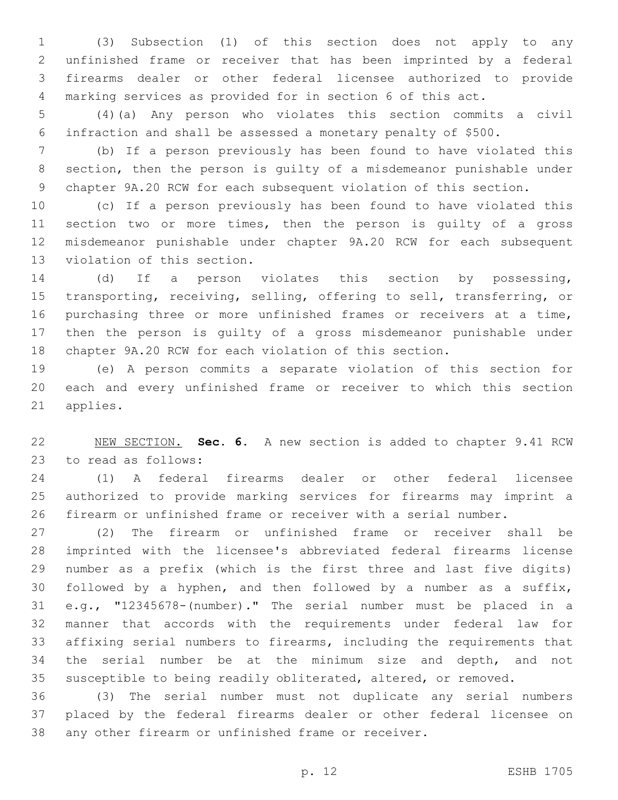(3) Subsection (1) of this section does not apply to any unfinished frame or receiver that has been imprinted by a federal firearms dealer or other federal licensee authorized to provide marking services as provided for in section 6 of this act.

 (4)(a) Any person who violates this section commits a civil infraction and shall be assessed a monetary penalty of \$500.

 (b) If a person previously has been found to have violated this section, then the person is guilty of a misdemeanor punishable under chapter 9A.20 RCW for each subsequent violation of this section.

 (c) If a person previously has been found to have violated this section two or more times, then the person is guilty of a gross misdemeanor punishable under chapter 9A.20 RCW for each subsequent 13 violation of this section.

 (d) If a person violates this section by possessing, transporting, receiving, selling, offering to sell, transferring, or purchasing three or more unfinished frames or receivers at a time, then the person is guilty of a gross misdemeanor punishable under chapter 9A.20 RCW for each violation of this section.

 (e) A person commits a separate violation of this section for each and every unfinished frame or receiver to which this section 21 applies.

 NEW SECTION. **Sec. 6.** A new section is added to chapter 9.41 RCW 23 to read as follows:

 (1) A federal firearms dealer or other federal licensee authorized to provide marking services for firearms may imprint a firearm or unfinished frame or receiver with a serial number.

 (2) The firearm or unfinished frame or receiver shall be imprinted with the licensee's abbreviated federal firearms license number as a prefix (which is the first three and last five digits) followed by a hyphen, and then followed by a number as a suffix, e.g., "12345678-(number)." The serial number must be placed in a manner that accords with the requirements under federal law for affixing serial numbers to firearms, including the requirements that the serial number be at the minimum size and depth, and not susceptible to being readily obliterated, altered, or removed.

 (3) The serial number must not duplicate any serial numbers placed by the federal firearms dealer or other federal licensee on any other firearm or unfinished frame or receiver.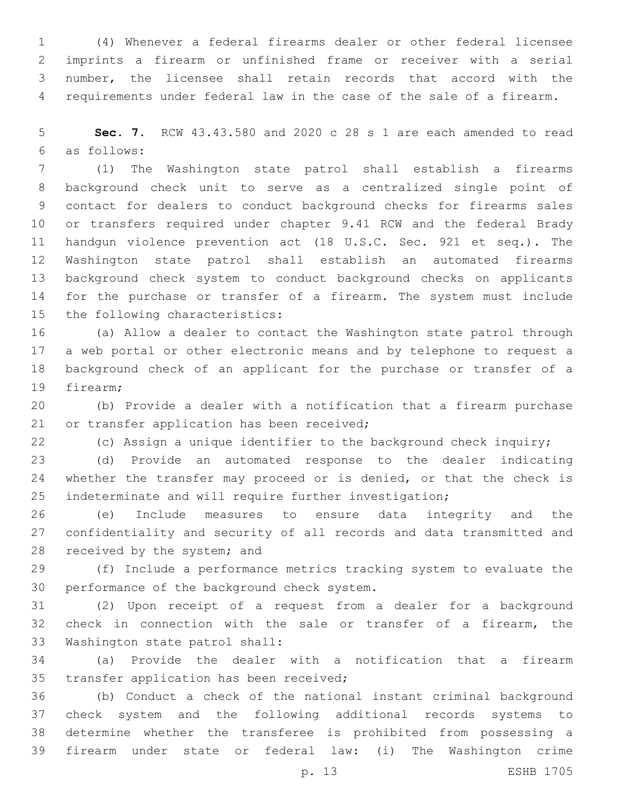(4) Whenever a federal firearms dealer or other federal licensee imprints a firearm or unfinished frame or receiver with a serial number, the licensee shall retain records that accord with the requirements under federal law in the case of the sale of a firearm.

 **Sec. 7.** RCW 43.43.580 and 2020 c 28 s 1 are each amended to read as follows:6

 (1) The Washington state patrol shall establish a firearms background check unit to serve as a centralized single point of contact for dealers to conduct background checks for firearms sales or transfers required under chapter 9.41 RCW and the federal Brady handgun violence prevention act (18 U.S.C. Sec. 921 et seq.). The Washington state patrol shall establish an automated firearms background check system to conduct background checks on applicants for the purchase or transfer of a firearm. The system must include 15 the following characteristics:

 (a) Allow a dealer to contact the Washington state patrol through a web portal or other electronic means and by telephone to request a background check of an applicant for the purchase or transfer of a 19 firearm:

 (b) Provide a dealer with a notification that a firearm purchase 21 or transfer application has been received;

(c) Assign a unique identifier to the background check inquiry;

 (d) Provide an automated response to the dealer indicating 24 whether the transfer may proceed or is denied, or that the check is indeterminate and will require further investigation;

 (e) Include measures to ensure data integrity and the confidentiality and security of all records and data transmitted and 28 received by the system; and

 (f) Include a performance metrics tracking system to evaluate the 30 performance of the background check system.

 (2) Upon receipt of a request from a dealer for a background check in connection with the sale or transfer of a firearm, the 33 Washington state patrol shall:

 (a) Provide the dealer with a notification that a firearm 35 transfer application has been received;

 (b) Conduct a check of the national instant criminal background check system and the following additional records systems to determine whether the transferee is prohibited from possessing a firearm under state or federal law: (i) The Washington crime

p. 13 ESHB 1705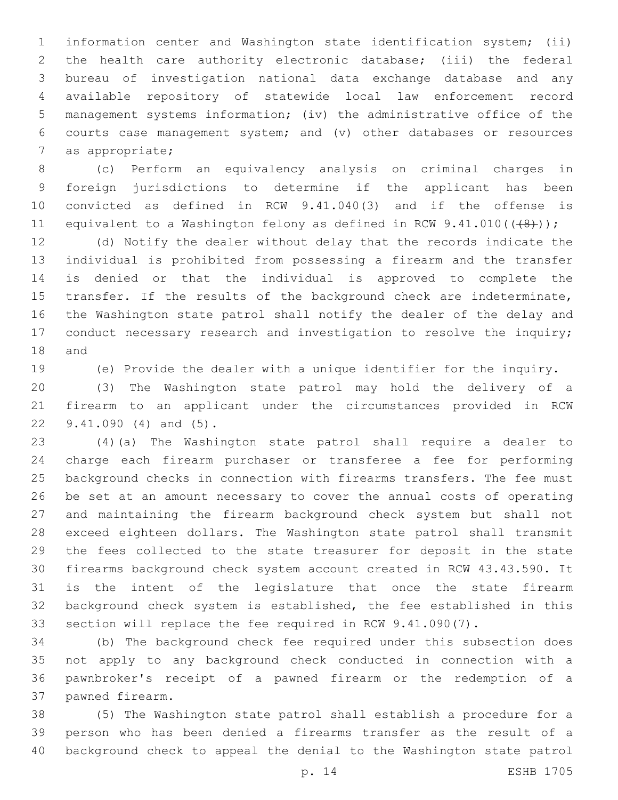information center and Washington state identification system; (ii) the health care authority electronic database; (iii) the federal bureau of investigation national data exchange database and any available repository of statewide local law enforcement record management systems information; (iv) the administrative office of the courts case management system; and (v) other databases or resources 7 as appropriate;

 (c) Perform an equivalency analysis on criminal charges in foreign jurisdictions to determine if the applicant has been convicted as defined in RCW 9.41.040(3) and if the offense is 11 equivalent to a Washington felony as defined in RCW  $9.41.010((\{8\}))$ ;

 (d) Notify the dealer without delay that the records indicate the individual is prohibited from possessing a firearm and the transfer is denied or that the individual is approved to complete the transfer. If the results of the background check are indeterminate, the Washington state patrol shall notify the dealer of the delay and 17 conduct necessary research and investigation to resolve the inquiry; 18 and

(e) Provide the dealer with a unique identifier for the inquiry.

 (3) The Washington state patrol may hold the delivery of a firearm to an applicant under the circumstances provided in RCW 22 9.41.090 (4) and (5).

 (4)(a) The Washington state patrol shall require a dealer to charge each firearm purchaser or transferee a fee for performing background checks in connection with firearms transfers. The fee must be set at an amount necessary to cover the annual costs of operating and maintaining the firearm background check system but shall not exceed eighteen dollars. The Washington state patrol shall transmit the fees collected to the state treasurer for deposit in the state firearms background check system account created in RCW 43.43.590. It is the intent of the legislature that once the state firearm background check system is established, the fee established in this section will replace the fee required in RCW 9.41.090(7).

 (b) The background check fee required under this subsection does not apply to any background check conducted in connection with a pawnbroker's receipt of a pawned firearm or the redemption of a 37 pawned firearm.

 (5) The Washington state patrol shall establish a procedure for a person who has been denied a firearms transfer as the result of a background check to appeal the denial to the Washington state patrol